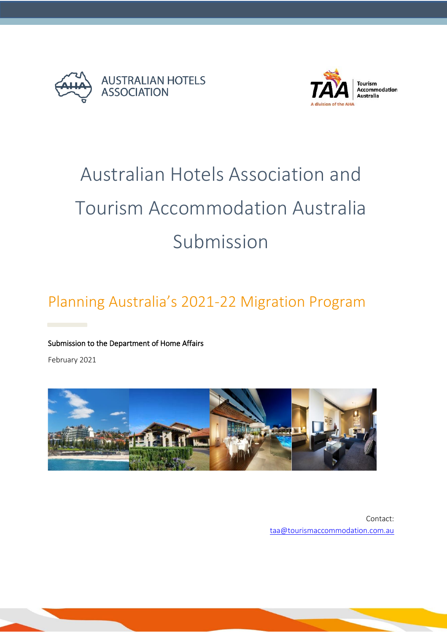



# **Accommodation**

# Australian Hotels Association and Tourism Accommodation Australia Submission

# Planning Australia's 2021-22 Migration Program

# Submission to the Department of Home Affairs

February 2021



Contact: [taa@tourismaccommodation.com.au](mailto:taa@tourismaccommodation.com.au)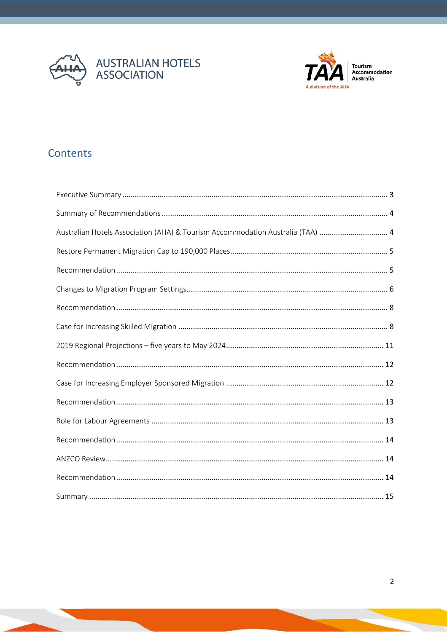



Tourism<br>Accommodation<br>Australia

# Contents

| Australian Hotels Association (AHA) & Tourism Accommodation Australia (TAA)  4 |  |
|--------------------------------------------------------------------------------|--|
|                                                                                |  |
|                                                                                |  |
|                                                                                |  |
|                                                                                |  |
|                                                                                |  |
|                                                                                |  |
|                                                                                |  |
|                                                                                |  |
|                                                                                |  |
|                                                                                |  |
|                                                                                |  |
|                                                                                |  |
|                                                                                |  |
|                                                                                |  |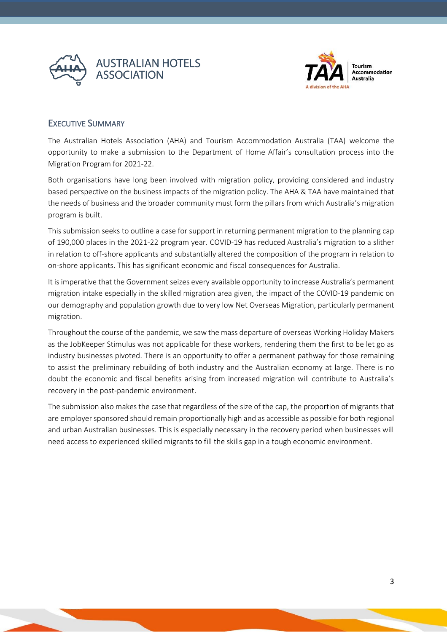



# <span id="page-2-0"></span>EXECUTIVE SUMMARY

The Australian Hotels Association (AHA) and Tourism Accommodation Australia (TAA) welcome the opportunity to make a submission to the Department of Home Affair's consultation process into the Migration Program for 2021-22.

Both organisations have long been involved with migration policy, providing considered and industry based perspective on the business impacts of the migration policy. The AHA & TAA have maintained that the needs of business and the broader community must form the pillars from which Australia's migration program is built.

This submission seeks to outline a case for support in returning permanent migration to the planning cap of 190,000 places in the 2021-22 program year. COVID-19 has reduced Australia's migration to a slither in relation to off-shore applicants and substantially altered the composition of the program in relation to on-shore applicants. This has significant economic and fiscal consequences for Australia.

It is imperative that the Government seizes every available opportunity to increase Australia's permanent migration intake especially in the skilled migration area given, the impact of the COVID-19 pandemic on our demography and population growth due to very low Net Overseas Migration, particularly permanent migration.

Throughout the course of the pandemic, we saw the mass departure of overseas Working Holiday Makers as the JobKeeper Stimulus was not applicable for these workers, rendering them the first to be let go as industry businesses pivoted. There is an opportunity to offer a permanent pathway for those remaining to assist the preliminary rebuilding of both industry and the Australian economy at large. There is no doubt the economic and fiscal benefits arising from increased migration will contribute to Australia's recovery in the post-pandemic environment.

The submission also makes the case that regardless of the size of the cap, the proportion of migrants that are employer sponsored should remain proportionally high and as accessible as possible for both regional and urban Australian businesses. This is especially necessary in the recovery period when businesses will need access to experienced skilled migrants to fill the skills gap in a tough economic environment.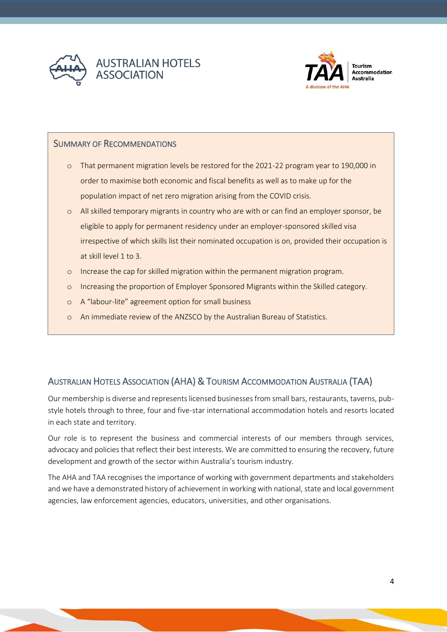



Tourism **Accommodation Australia** 

### SUMMARY OF RECOMMENDATIONS

- o That permanent migration levels be restored for the 2021-22 program year to 190,000 in order to maximise both economic and fiscal benefits as well as to make up for the population impact of net zero migration arising from the COVID crisis.
- o All skilled temporary migrants in country who are with or can find an employer sponsor, be eligible to apply for permanent residency under an employer-sponsored skilled visa irrespective of which skills list their nominated occupation is on, provided their occupation is at skill level 1 to 3.
- o Increase the cap for skilled migration within the permanent migration program.
- o Increasing the proportion of Employer Sponsored Migrants within the Skilled category.
- o A "labour-lite" agreement option for small business
- o An immediate review of the ANZSCO by the Australian Bureau of Statistics.

# <span id="page-3-0"></span>AUSTRALIAN HOTELS ASSOCIATION (AHA) & TOURISM ACCOMMODATION AUSTRALIA (TAA)

Our membership is diverse and represents licensed businesses from small bars, restaurants, taverns, pubstyle hotels through to three, four and five-star international accommodation hotels and resorts located in each state and territory.

Our role is to represent the business and commercial interests of our members through services, advocacy and policies that reflect their best interests. We are committed to ensuring the recovery, future development and growth of the sector within Australia's tourism industry.

The AHA and TAA recognises the importance of working with government departments and stakeholders and we have a demonstrated history of achievement in working with national, state and local government agencies, law enforcement agencies, educators, universities, and other organisations.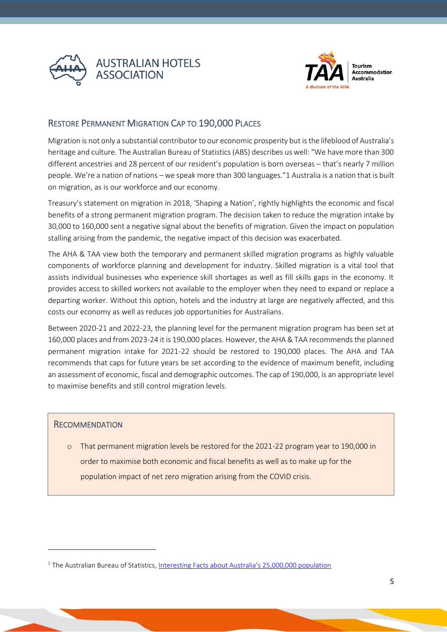



# <span id="page-4-0"></span>RESTORE PERMANENT MIGRATION CAP TO 190,000 PLACES

Migration is not only a substantial contributor to our economic prosperity but is the lifeblood of Australia's heritage and culture. The Australian Bureau of Statistics (ABS) describes us well: "We have more than 300 different ancestries and 28 percent of our resident's population is born overseas – that's nearly 7 million people. We're a nation of nations – we speak more than 300 languages."1 Australia is a nation that is built on migration, as is our workforce and our economy.

Treasury's statement on migration in 2018, 'Shaping a Nation', rightly highlights the economic and fiscal benefits of a strong permanent migration program. The decision taken to reduce the migration intake by 30,000 to 160,000 sent a negative signal about the benefits of migration. Given the impact on population stalling arising from the pandemic, the negative impact of this decision was exacerbated.

The AHA & TAA view both the temporary and permanent skilled migration programs as highly valuable components of workforce planning and development for industry. Skilled migration is a vital tool that assists individual businesses who experience skill shortages as well as fill skills gaps in the economy. It provides access to skilled workers not available to the employer when they need to expand or replace a departing worker. Without this option, hotels and the industry at large are negatively affected, and this costs our economy as well as reduces job opportunities for Australians.

Between 2020-21 and 2022-23, the planning level for the permanent migration program has been set at 160,000 places and from 2023-24 it is 190,000 places. However, the AHA & TAA recommends the planned permanent migration intake for 2021-22 should be restored to 190,000 places. The AHA and TAA recommends that caps for future years be set according to the evidence of maximum benefit, including an assessment of economic, fiscal and demographic outcomes. The cap of 190,000, is an appropriate level to maximise benefits and still control migration levels.

#### **RECOMMENDATION**

o That permanent migration levels be restored for the 2021-22 program year to 190,000 in order to maximise both economic and fiscal benefits as well as to make up for the population impact of net zero migration arising from the COVID crisis.

<sup>&</sup>lt;sup>1</sup> The Australian Bureau of Statistics, [Interesting Facts about Australia's 25,000,000 population](https://www.abs.gov.au/websitedbs/D3310114.nsf/home/Interesting+Facts+about+Australia%E2%80%99s+population)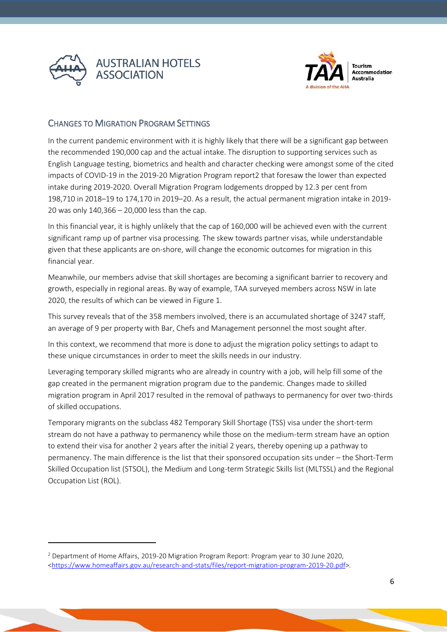



# <span id="page-5-0"></span>CHANGES TO MIGRATION PROGRAM SETTINGS

In the current pandemic environment with it is highly likely that there will be a significant gap between the recommended 190,000 cap and the actual intake. The disruption to supporting services such as English Language testing, biometrics and health and character checking were amongst some of the cited impacts of COVID-19 in the 2019-20 Migration Program report2 that foresaw the lower than expected intake during 2019-2020. Overall Migration Program lodgements dropped by 12.3 per cent from 198,710 in 2018–19 to 174,170 in 2019–20. As a result, the actual permanent migration intake in 2019- 20 was only 140,366 – 20,000 less than the cap.

In this financial year, it is highly unlikely that the cap of 160,000 will be achieved even with the current significant ramp up of partner visa processing. The skew towards partner visas, while understandable given that these applicants are on-shore, will change the economic outcomes for migration in this financial year.

Meanwhile, our members advise that skill shortages are becoming a significant barrier to recovery and growth, especially in regional areas. By way of example, TAA surveyed members across NSW in late 2020, the results of which can be viewed in Figure 1.

This survey reveals that of the 358 members involved, there is an accumulated shortage of 3247 staff, an average of 9 per property with Bar, Chefs and Management personnel the most sought after.

In this context, we recommend that more is done to adjust the migration policy settings to adapt to these unique circumstances in order to meet the skills needs in our industry.

Leveraging temporary skilled migrants who are already in country with a job, will help fill some of the gap created in the permanent migration program due to the pandemic. Changes made to skilled migration program in April 2017 resulted in the removal of pathways to permanency for over two-thirds of skilled occupations.

Temporary migrants on the subclass 482 Temporary Skill Shortage (TSS) visa under the short-term stream do not have a pathway to permanency while those on the medium-term stream have an option to extend their visa for another 2 years after the initial 2 years, thereby opening up a pathway to permanency. The main difference is the list that their sponsored occupation sits under – the Short-Term Skilled Occupation list (STSOL), the Medium and Long-term Strategic Skills list (MLTSSL) and the Regional Occupation List (ROL).

<sup>2</sup> Department of Home Affairs, 2019-20 Migration Program Report: Program year to 30 June 2020, [<https://www.homeaffairs.gov.au/research-and-stats/files/report-migration-program-2019-20.pdf>](https://www.homeaffairs.gov.au/research-and-stats/files/report-migration-program-2019-20.pdf).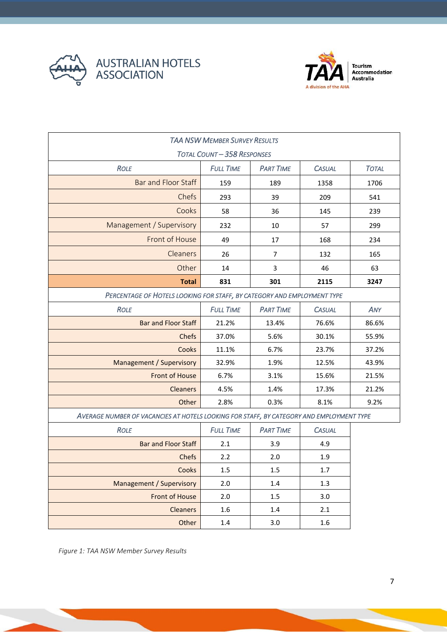



Tourism<br>Accommodation<br>Australia

| <b>TAA NSW MEMBER SURVEY RESULTS</b>                                                     |                  |                  |               |              |  |  |  |
|------------------------------------------------------------------------------------------|------------------|------------------|---------------|--------------|--|--|--|
| <b>TOTAL COUNT-358 RESPONSES</b>                                                         |                  |                  |               |              |  |  |  |
| <b>ROLE</b>                                                                              | <b>FULL TIME</b> | <b>PART TIME</b> | <b>CASUAL</b> | <b>TOTAL</b> |  |  |  |
| <b>Bar and Floor Staff</b>                                                               | 159              | 189              | 1358          | 1706         |  |  |  |
| Chefs                                                                                    | 293              | 39               | 209           | 541          |  |  |  |
| Cooks                                                                                    | 58               | 36               | 145           | 239          |  |  |  |
| Management / Supervisory                                                                 | 232              | 10               | 57            | 299          |  |  |  |
| Front of House                                                                           | 49               | 17               | 168           | 234          |  |  |  |
| Cleaners                                                                                 | 26               | $\overline{7}$   | 132           | 165          |  |  |  |
| Other                                                                                    | 14               | 3                | 46            | 63           |  |  |  |
| <b>Total</b>                                                                             | 831              | 301              | 2115          | 3247         |  |  |  |
| PERCENTAGE OF HOTELS LOOKING FOR STAFF, BY CATEGORY AND EMPLOYMENT TYPE                  |                  |                  |               |              |  |  |  |
| <b>ROLE</b>                                                                              | <b>FULL TIME</b> | <b>PART TIME</b> | <b>CASUAL</b> | ANY          |  |  |  |
| <b>Bar and Floor Staff</b>                                                               | 21.2%            | 13.4%            | 76.6%         | 86.6%        |  |  |  |
| <b>Chefs</b>                                                                             | 37.0%            | 5.6%             | 30.1%         | 55.9%        |  |  |  |
| Cooks                                                                                    | 11.1%            | 6.7%             | 23.7%         | 37.2%        |  |  |  |
| Management / Supervisory                                                                 | 32.9%            | 1.9%             | 12.5%         | 43.9%        |  |  |  |
| <b>Front of House</b>                                                                    | 6.7%             | 3.1%             | 15.6%         | 21.5%        |  |  |  |
| <b>Cleaners</b>                                                                          | 4.5%             | 1.4%             | 17.3%         | 21.2%        |  |  |  |
| Other                                                                                    | 2.8%             | 0.3%             | 8.1%          | 9.2%         |  |  |  |
| AVERAGE NUMBER OF VACANCIES AT HOTELS LOOKING FOR STAFF, BY CATEGORY AND EMPLOYMENT TYPE |                  |                  |               |              |  |  |  |
| <b>ROLE</b>                                                                              | <b>FULL TIME</b> | <b>PART TIME</b> | <b>CASUAL</b> |              |  |  |  |
| <b>Bar and Floor Staff</b>                                                               | 2.1              | 3.9              | 4.9           |              |  |  |  |
| Chefs                                                                                    | 2.2              | 2.0              | 1.9           |              |  |  |  |
| Cooks                                                                                    | $1.5\,$          | 1.5              | 1.7           |              |  |  |  |
| <b>Management / Supervisory</b>                                                          | 2.0              | 1.4              | 1.3           |              |  |  |  |
| <b>Front of House</b>                                                                    | 2.0              | 1.5              | 3.0           |              |  |  |  |
| <b>Cleaners</b>                                                                          | 1.6              | 1.4              | 2.1           |              |  |  |  |
| Other                                                                                    | $1.4\,$          | 3.0              | $1.6\,$       |              |  |  |  |

*Figure 1: TAA NSW Member Survey Results*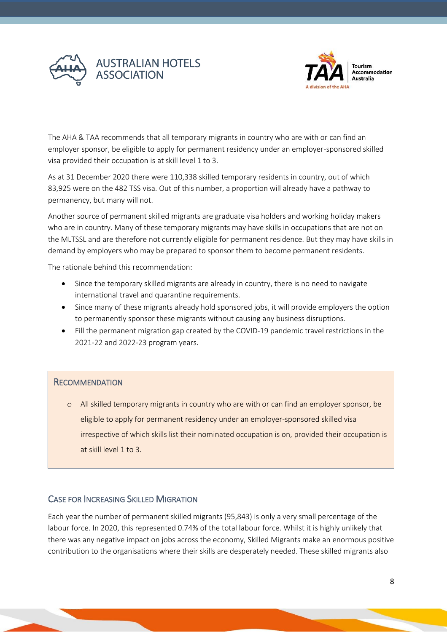



The AHA & TAA recommends that all temporary migrants in country who are with or can find an employer sponsor, be eligible to apply for permanent residency under an employer-sponsored skilled visa provided their occupation is at skill level 1 to 3.

As at 31 December 2020 there were 110,338 skilled temporary residents in country, out of which 83,925 were on the 482 TSS visa. Out of this number, a proportion will already have a pathway to permanency, but many will not.

Another source of permanent skilled migrants are graduate visa holders and working holiday makers who are in country. Many of these temporary migrants may have skills in occupations that are not on the MLTSSL and are therefore not currently eligible for permanent residence. But they may have skills in demand by employers who may be prepared to sponsor them to become permanent residents.

The rationale behind this recommendation:

- Since the temporary skilled migrants are already in country, there is no need to navigate international travel and quarantine requirements.
- Since many of these migrants already hold sponsored jobs, it will provide employers the option to permanently sponsor these migrants without causing any business disruptions.
- Fill the permanent migration gap created by the COVID-19 pandemic travel restrictions in the 2021-22 and 2022-23 program years.

# **RECOMMENDATION**

o All skilled temporary migrants in country who are with or can find an employer sponsor, be eligible to apply for permanent residency under an employer-sponsored skilled visa irrespective of which skills list their nominated occupation is on, provided their occupation is at skill level 1 to 3.

# <span id="page-7-0"></span>CASE FOR INCREASING SKILLED MIGRATION

Each year the number of permanent skilled migrants (95,843) is only a very small percentage of the labour force. In 2020, this represented 0.74% of the total labour force. Whilst it is highly unlikely that there was any negative impact on jobs across the economy, Skilled Migrants make an enormous positive contribution to the organisations where their skills are desperately needed. These skilled migrants also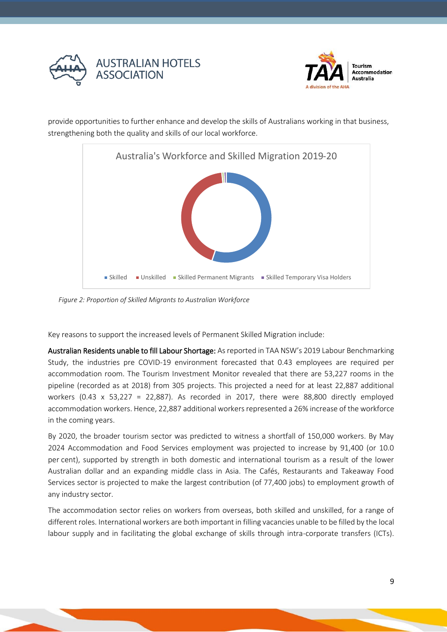



provide opportunities to further enhance and develop the skills of Australians working in that business, strengthening both the quality and skills of our local workforce.



*Figure 2: Proportion of Skilled Migrants to Australian Workforce*

Key reasons to support the increased levels of Permanent Skilled Migration include:

Australian Residents unable to fill Labour Shortage: As reported in TAA NSW's 2019 Labour Benchmarking Study, the industries pre COVID-19 environment forecasted that 0.43 employees are required per accommodation room. The Tourism Investment Monitor revealed that there are 53,227 rooms in the pipeline (recorded as at 2018) from 305 projects. This projected a need for at least 22,887 additional workers  $(0.43 \times 53,227 = 22,887)$ . As recorded in 2017, there were 88,800 directly employed accommodation workers. Hence, 22,887 additional workers represented a 26% increase of the workforce in the coming years.

By 2020, the broader tourism sector was predicted to witness a shortfall of 150,000 workers. By May 2024 Accommodation and Food Services employment was projected to increase by 91,400 (or 10.0 per cent), supported by strength in both domestic and international tourism as a result of the lower Australian dollar and an expanding middle class in Asia. The Cafés, Restaurants and Takeaway Food Services sector is projected to make the largest contribution (of 77,400 jobs) to employment growth of any industry sector.

The accommodation sector relies on workers from overseas, both skilled and unskilled, for a range of different roles. International workers are both important in filling vacancies unable to be filled by the local labour supply and in facilitating the global exchange of skills through intra-corporate transfers (ICTs).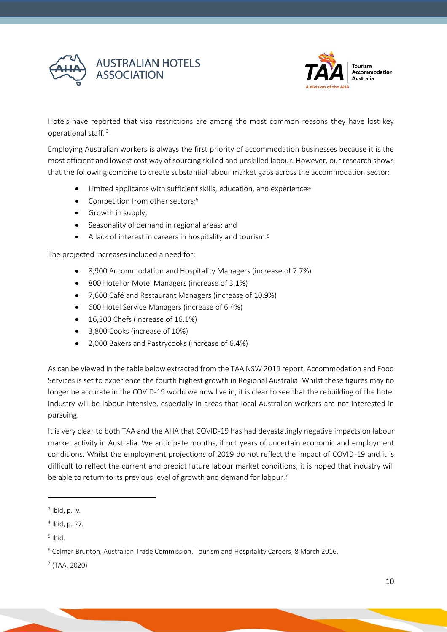



Hotels have reported that visa restrictions are among the most common reasons they have lost key operational staff. <sup>3</sup>

Employing Australian workers is always the first priority of accommodation businesses because it is the most efficient and lowest cost way of sourcing skilled and unskilled labour. However, our research shows that the following combine to create substantial labour market gaps across the accommodation sector:

- Limited applicants with sufficient skills, education, and experience;4
- Competition from other sectors;<sup>5</sup>
- Growth in supply;
- Seasonality of demand in regional areas; and
- A lack of interest in careers in hospitality and tourism.<sup>6</sup>

The projected increases included a need for:

- 8,900 Accommodation and Hospitality Managers (increase of 7.7%)
- 800 Hotel or Motel Managers (increase of 3.1%)
- 7,600 Café and Restaurant Managers (increase of 10.9%)
- 600 Hotel Service Managers (increase of 6.4%)
- 16,300 Chefs (increase of 16.1%)
- 3,800 Cooks (increase of 10%)
- 2,000 Bakers and Pastrycooks (increase of 6.4%)

As can be viewed in the table below extracted from the TAA NSW 2019 report, Accommodation and Food Services is set to experience the fourth highest growth in Regional Australia. Whilst these figures may no longer be accurate in the COVID-19 world we now live in, it is clear to see that the rebuilding of the hotel industry will be labour intensive, especially in areas that local Australian workers are not interested in pursuing.

It is very clear to both TAA and the AHA that COVID-19 has had devastatingly negative impacts on labour market activity in Australia. We anticipate months, if not years of uncertain economic and employment conditions. Whilst the employment projections of 2019 do not reflect the impact of COVID-19 and it is difficult to reflect the current and predict future labour market conditions, it is hoped that industry will be able to return to its previous level of growth and demand for labour.<sup>7</sup>

<sup>3</sup> Ibid, p. iv*.*

<sup>4</sup> Ibid, p. 27*.*

<sup>5</sup> Ibid*.*

 $6$  Colmar Brunton, Australian Trade Commission. Tourism and Hospitality Careers, 8 March 2016.

<sup>7</sup> (TAA, 2020)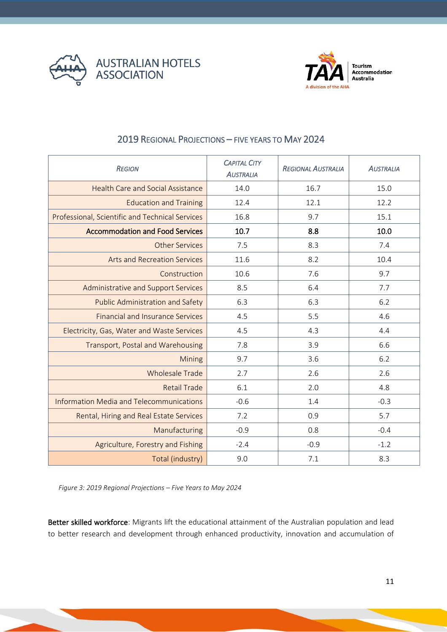



<span id="page-10-0"></span>

| <b>REGION</b>                                   | <b>CAPITAL CITY</b><br><b>AUSTRALIA</b> | <b>REGIONAL AUSTRALIA</b> | <b>AUSTRALIA</b> |
|-------------------------------------------------|-----------------------------------------|---------------------------|------------------|
| <b>Health Care and Social Assistance</b>        | 14.0                                    | 16.7                      | 15.0             |
| <b>Education and Training</b>                   | 12.4                                    | 12.1                      | 12.2             |
| Professional, Scientific and Technical Services | 16.8                                    | 9.7                       | 15.1             |
| <b>Accommodation and Food Services</b>          | 10.7                                    | 8.8                       | 10.0             |
| <b>Other Services</b>                           | 7.5                                     | 8.3                       | 7.4              |
| <b>Arts and Recreation Services</b>             | 11.6                                    | 8.2                       | 10.4             |
| Construction                                    | 10.6                                    | 7.6                       | 9.7              |
| Administrative and Support Services             | 8.5                                     | 6.4                       | 7.7              |
| <b>Public Administration and Safety</b>         | 6.3                                     | 6.3                       | 6.2              |
| <b>Financial and Insurance Services</b>         | 4.5                                     | 5.5                       | 4.6              |
| Electricity, Gas, Water and Waste Services      | 4.5                                     | 4.3                       | 4.4              |
| Transport, Postal and Warehousing               | 7.8                                     | 3.9                       | 6.6              |
| Mining                                          | 9.7                                     | 3.6                       | 6.2              |
| <b>Wholesale Trade</b>                          | 2.7                                     | 2.6                       | 2.6              |
| <b>Retail Trade</b>                             | 6.1                                     | 2.0                       | 4.8              |
| <b>Information Media and Telecommunications</b> | $-0.6$                                  | 1.4                       | $-0.3$           |
| Rental, Hiring and Real Estate Services         | 7.2                                     | 0.9                       | 5.7              |
| Manufacturing                                   | $-0.9$                                  | 0.8                       | $-0.4$           |
| Agriculture, Forestry and Fishing               | $-2.4$                                  | $-0.9$                    | $-1.2$           |
| Total (industry)                                | 9.0                                     | 7.1                       | 8.3              |

# 2019 REGIONAL PROJECTIONS – FIVE YEARS TO MAY 2024

*Figure 3: 2019 Regional Projections – Five Years to May 2024*

Better skilled workforce: Migrants lift the educational attainment of the Australian population and lead to better research and development through enhanced productivity, innovation and accumulation of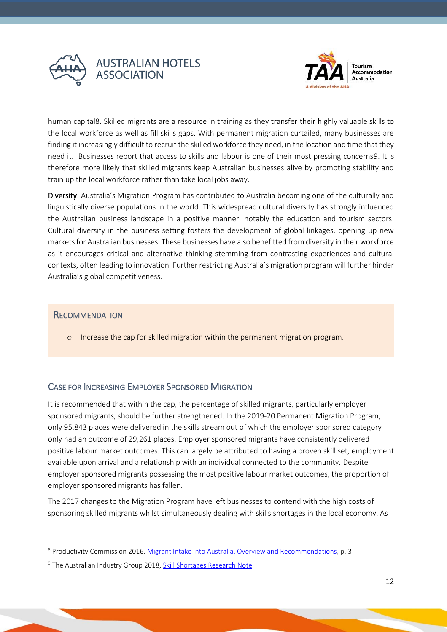



human capital8. Skilled migrants are a resource in training as they transfer their highly valuable skills to the local workforce as well as fill skills gaps. With permanent migration curtailed, many businesses are finding it increasingly difficult to recruit the skilled workforce they need, in the location and time that they need it. Businesses report that access to skills and labour is one of their most pressing concerns9. It is therefore more likely that skilled migrants keep Australian businesses alive by promoting stability and train up the local workforce rather than take local jobs away.

Diversity: Australia's Migration Program has contributed to Australia becoming one of the culturally and linguistically diverse populations in the world. This widespread cultural diversity has strongly influenced the Australian business landscape in a positive manner, notably the education and tourism sectors. Cultural diversity in the business setting fosters the development of global linkages, opening up new markets for Australian businesses. These businesses have also benefitted from diversity in their workforce as it encourages critical and alternative thinking stemming from contrasting experiences and cultural contexts, often leading to innovation. Further restricting Australia's migration program will further hinder Australia's global competitiveness.

### **RECOMMENDATION**

o Increase the cap for skilled migration within the permanent migration program.

# <span id="page-11-0"></span>CASE FOR INCREASING EMPLOYER SPONSORED MIGRATION

It is recommended that within the cap, the percentage of skilled migrants, particularly employer sponsored migrants, should be further strengthened. In the 2019-20 Permanent Migration Program, only 95,843 places were delivered in the skills stream out of which the employer sponsored category only had an outcome of 29,261 places. Employer sponsored migrants have consistently delivered positive labour market outcomes. This can largely be attributed to having a proven skill set, employment available upon arrival and a relationship with an individual connected to the community. Despite employer sponsored migrants possessing the most positive labour market outcomes, the proportion of employer sponsored migrants has fallen.

The 2017 changes to the Migration Program have left businesses to contend with the high costs of sponsoring skilled migrants whilst simultaneously dealing with skills shortages in the local economy. As

<sup>8</sup> Productivity Commission 2016, [Migrant Intake into Australia, Overview and Recommendations,](https://www.pc.gov.au/inquiries/completed/migrant-intake/report/migrant-intake-report-overview.pdf) p. 3

<sup>&</sup>lt;sup>9</sup> The Australian Industry Group 2018, [Skill Shortages Research Note](http://cdn.aigroup.com.au/Reports/2018/Skill_Shortages_Research_Note_April_2018_WD.pdf)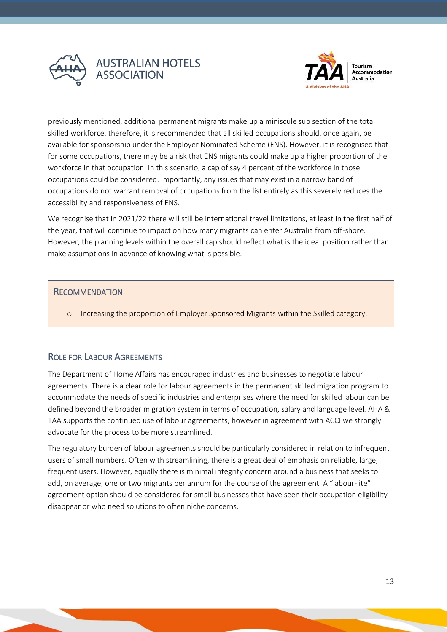



previously mentioned, additional permanent migrants make up a miniscule sub section of the total skilled workforce, therefore, it is recommended that all skilled occupations should, once again, be available for sponsorship under the Employer Nominated Scheme (ENS). However, it is recognised that for some occupations, there may be a risk that ENS migrants could make up a higher proportion of the workforce in that occupation. In this scenario, a cap of say 4 percent of the workforce in those occupations could be considered. Importantly, any issues that may exist in a narrow band of occupations do not warrant removal of occupations from the list entirely as this severely reduces the accessibility and responsiveness of ENS.

We recognise that in 2021/22 there will still be international travel limitations, at least in the first half of the year, that will continue to impact on how many migrants can enter Australia from off-shore. However, the planning levels within the overall cap should reflect what is the ideal position rather than make assumptions in advance of knowing what is possible.

#### **RECOMMENDATION**

o Increasing the proportion of Employer Sponsored Migrants within the Skilled category.

# <span id="page-12-0"></span>ROLE FOR LABOUR AGREEMENTS

The Department of Home Affairs has encouraged industries and businesses to negotiate labour agreements. There is a clear role for labour agreements in the permanent skilled migration program to accommodate the needs of specific industries and enterprises where the need for skilled labour can be defined beyond the broader migration system in terms of occupation, salary and language level. AHA & TAA supports the continued use of labour agreements, however in agreement with ACCI we strongly advocate for the process to be more streamlined.

The regulatory burden of labour agreements should be particularly considered in relation to infrequent users of small numbers. Often with streamlining, there is a great deal of emphasis on reliable, large, frequent users. However, equally there is minimal integrity concern around a business that seeks to add, on average, one or two migrants per annum for the course of the agreement. A "labour-lite" agreement option should be considered for small businesses that have seen their occupation eligibility disappear or who need solutions to often niche concerns.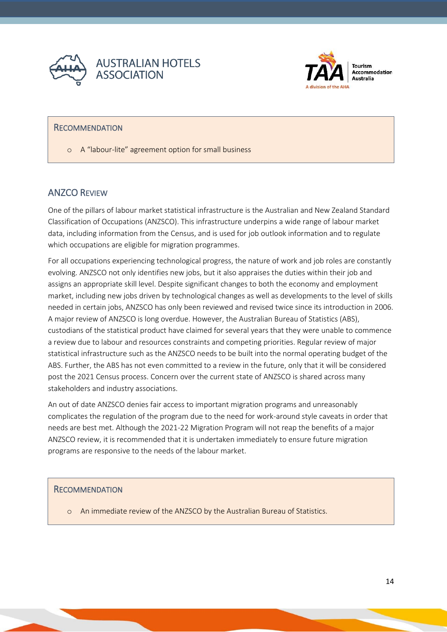



## **RECOMMENDATION**

o A "labour-lite" agreement option for small business

# <span id="page-13-0"></span>ANZCO REVIEW

One of the pillars of labour market statistical infrastructure is the Australian and New Zealand Standard Classification of Occupations (ANZSCO). This infrastructure underpins a wide range of labour market data, including information from the Census, and is used for job outlook information and to regulate which occupations are eligible for migration programmes.

For all occupations experiencing technological progress, the nature of work and job roles are constantly evolving. ANZSCO not only identifies new jobs, but it also appraises the duties within their job and assigns an appropriate skill level. Despite significant changes to both the economy and employment market, including new jobs driven by technological changes as well as developments to the level of skills needed in certain jobs, ANZSCO has only been reviewed and revised twice since its introduction in 2006. A major review of ANZSCO is long overdue. However, the Australian Bureau of Statistics (ABS), custodians of the statistical product have claimed for several years that they were unable to commence a review due to labour and resources constraints and competing priorities. Regular review of major statistical infrastructure such as the ANZSCO needs to be built into the normal operating budget of the ABS. Further, the ABS has not even committed to a review in the future, only that it will be considered post the 2021 Census process. Concern over the current state of ANZSCO is shared across many stakeholders and industry associations.

An out of date ANZSCO denies fair access to important migration programs and unreasonably complicates the regulation of the program due to the need for work-around style caveats in order that needs are best met. Although the 2021-22 Migration Program will not reap the benefits of a major ANZSCO review, it is recommended that it is undertaken immediately to ensure future migration programs are responsive to the needs of the labour market.

#### **RECOMMENDATION**

o An immediate review of the ANZSCO by the Australian Bureau of Statistics.